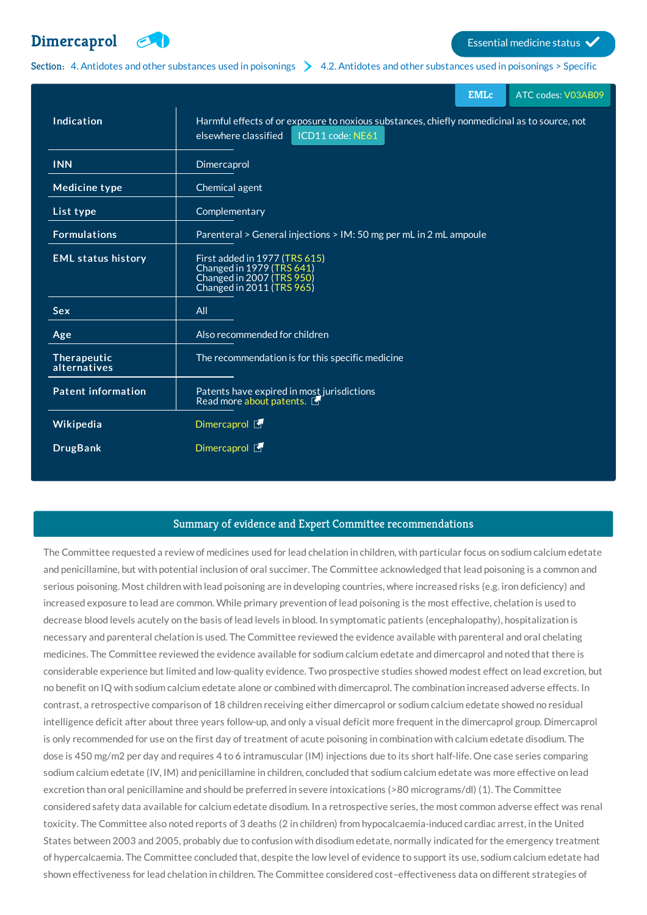## **[Dimercaprol](http://list.essentialmeds.org/medicines/41) Extending the COV COVERTS COVERTS (COVERTS)**



Section: 4. Antidotes and other [substances](http://list.essentialmeds.org/?section=330) used in poisonings  $\geq 4.2$ . Antidotes and other substances used in poisonings > Specific

|                             | <b>EMLc</b><br>ATC codes: V03AB09                                                                                                        |
|-----------------------------|------------------------------------------------------------------------------------------------------------------------------------------|
| Indication                  | Harmful effects of or exposure to noxious substances, chiefly nonmedicinal as to source, not<br>elsewhere classified<br>ICD11 code: NE61 |
| <b>INN</b>                  | Dimercaprol                                                                                                                              |
| <b>Medicine type</b>        | Chemical agent                                                                                                                           |
| List type                   | Complementary                                                                                                                            |
| <b>Formulations</b>         | Parenteral > General injections > IM: 50 mg per mL in 2 mL ampoule                                                                       |
| <b>EML status history</b>   | First added in 1977 (TRS 615)<br>Changed in 1979 (TRS 641)<br>Changed in 2007 (TRS 950)<br>Changed in 2011 (TRS 965)                     |
| <b>Sex</b>                  | All                                                                                                                                      |
| Age                         | Also recommended for children                                                                                                            |
| Therapeutic<br>alternatives | The recommendation is for this specific medicine                                                                                         |
| <b>Patent information</b>   | Patents have expired in most jurisdictions<br>Read more about patents.                                                                   |
| Wikipedia                   | Dimercaprol <b>图</b>                                                                                                                     |
| <b>DrugBank</b>             | Dimercaprol <b>图</b>                                                                                                                     |

## Summary of evidence and Expert Committee recommendations

The Committee requested a review of medicines used for lead chelation in children, with particular focus on sodium calcium edetate and penicillamine, but with potential inclusion of oral succimer. The Committee acknowledged that lead poisoning is a common and serious poisoning. Most children with lead poisoning are in developing countries, where increased risks (e.g. iron deficiency) and increased exposure to lead are common. While primary prevention of lead poisoning is the most effective, chelation is used to decrease blood levels acutely on the basis of lead levels in blood. In symptomatic patients (encephalopathy), hospitalization is necessary and parenteral chelation is used. The Committee reviewed the evidence available with parenteral and oral chelating medicines. The Committee reviewed the evidence available for sodium calcium edetate and dimercaprol and noted that there is considerable experience but limited and low-quality evidence. Two prospective studies showed modest effect on lead excretion, but no benefit on IQ with sodium calcium edetate alone or combined with dimercaprol. The combination increased adverse effects. In contrast, a retrospective comparison of 18 children receiving either dimercaprol or sodium calcium edetate showed no residual intelligence deficit after about three years follow-up, and only a visual deficit more frequent in the dimercaprol group. Dimercaprol is only recommended for use on the first day of treatment of acute poisoning in combination with calcium edetate disodium. The dose is 450 mg/m2 per day and requires 4 to 6 intramuscular (IM) injections due to its short half-life. One case series comparing sodium calcium edetate (IV, IM) and penicillamine in children, concluded that sodium calcium edetate was more effective on lead excretion than oral penicillamine and should be preferred in severe intoxications (>80 micrograms/dl) (1). The Committee considered safety data available for calcium edetate disodium. In a retrospective series, the most common adverse effect was renal toxicity. The Committee also noted reports of 3 deaths (2 in children) from hypocalcaemia-induced cardiac arrest, in the United States between 2003 and 2005, probably due to confusion with disodium edetate, normally indicated for the emergency treatment of hypercalcaemia. The Committee concluded that, despite the low level of evidence to support its use, sodium calcium edetate had shown effectiveness for lead chelation in children. The Committee considered cost–effectiveness data on different strategies of